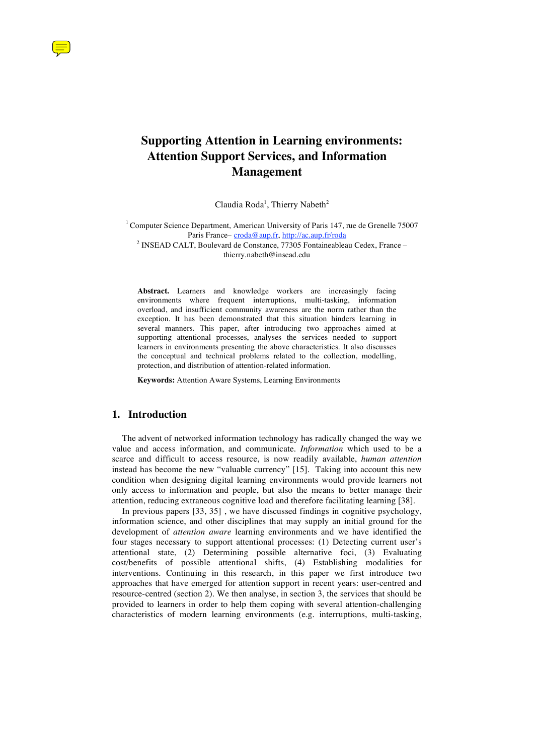

# **Supporting Attention in Learning environments: Attention Support Services, and Information Management**

Claudia Roda<sup>1</sup>, Thierry Nabeth<sup>2</sup>

 $1$  Computer Science Department, American University of Paris 147, rue de Grenelle 75007 Paris France-croda@aup.fr, http://ac.aup.fr/roda

<sup>2</sup> INSEAD CALT, Boulevard de Constance, 77305 Fontaineableau Cedex, France – thierry.nabeth@insead.edu

**Abstract.** Learners and knowledge workers are increasingly facing environments where frequent interruptions, multi-tasking, information overload, and insufficient community awareness are the norm rather than the exception. It has been demonstrated that this situation hinders learning in several manners. This paper, after introducing two approaches aimed at supporting attentional processes, analyses the services needed to support learners in environments presenting the above characteristics. It also discusses the conceptual and technical problems related to the collection, modelling, protection, and distribution of attention-related information.

**Keywords:** Attention Aware Systems, Learning Environments

## **1. Introduction**

The advent of networked information technology has radically changed the way we value and access information, and communicate. *Information* which used to be a scarce and difficult to access resource, is now readily available, *human attention* instead has become the new "valuable currency" [15]. Taking into account this new condition when designing digital learning environments would provide learners not only access to information and people, but also the means to better manage their attention, reducing extraneous cognitive load and therefore facilitating learning [38].

In previous papers [33, 35] , we have discussed findings in cognitive psychology, information science, and other disciplines that may supply an initial ground for the development of *attention aware* learning environments and we have identified the four stages necessary to support attentional processes: (1) Detecting current user's attentional state, (2) Determining possible alternative foci, (3) Evaluating cost/benefits of possible attentional shifts, (4) Establishing modalities for interventions. Continuing in this research, in this paper we first introduce two approaches that have emerged for attention support in recent years: user-centred and resource-centred (section 2). We then analyse, in section 3, the services that should be provided to learners in order to help them coping with several attention-challenging characteristics of modern learning environments (e.g. interruptions, multi-tasking,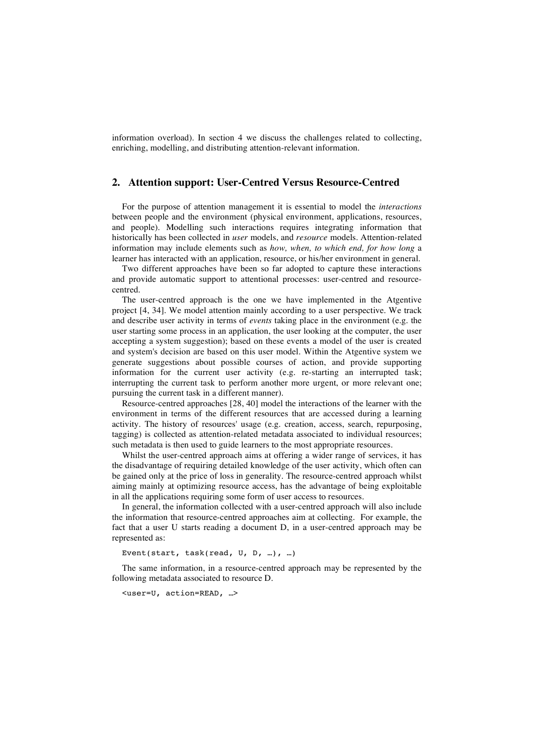information overload). In section 4 we discuss the challenges related to collecting, enriching, modelling, and distributing attention-relevant information.

## **2. Attention support: User-Centred Versus Resource-Centred**

For the purpose of attention management it is essential to model the *interactions* between people and the environment (physical environment, applications, resources, and people). Modelling such interactions requires integrating information that historically has been collected in *user* models, and *resource* models. Attention-related information may include elements such as *how, when, to which end, for how long* a learner has interacted with an application, resource, or his/her environment in general.

Two different approaches have been so far adopted to capture these interactions and provide automatic support to attentional processes: user-centred and resourcecentred.

The user-centred approach is the one we have implemented in the Atgentive project [4, 34]. We model attention mainly according to a user perspective. We track and describe user activity in terms of *events* taking place in the environment (e.g. the user starting some process in an application, the user looking at the computer, the user accepting a system suggestion); based on these events a model of the user is created and system's decision are based on this user model. Within the Atgentive system we generate suggestions about possible courses of action, and provide supporting information for the current user activity (e.g. re-starting an interrupted task; interrupting the current task to perform another more urgent, or more relevant one; pursuing the current task in a different manner).

Resource-centred approaches [28, 40] model the interactions of the learner with the environment in terms of the different resources that are accessed during a learning activity. The history of resources' usage (e.g. creation, access, search, repurposing, tagging) is collected as attention-related metadata associated to individual resources; such metadata is then used to guide learners to the most appropriate resources.

Whilst the user-centred approach aims at offering a wider range of services, it has the disadvantage of requiring detailed knowledge of the user activity, which often can be gained only at the price of loss in generality. The resource-centred approach whilst aiming mainly at optimizing resource access, has the advantage of being exploitable in all the applications requiring some form of user access to resources.

In general, the information collected with a user-centred approach will also include the information that resource-centred approaches aim at collecting. For example, the fact that a user U starts reading a document D, in a user-centred approach may be represented as:

Event(start, task(read, U, D, …), …)

The same information, in a resource-centred approach may be represented by the following metadata associated to resource D.

<user=U, action=READ, …>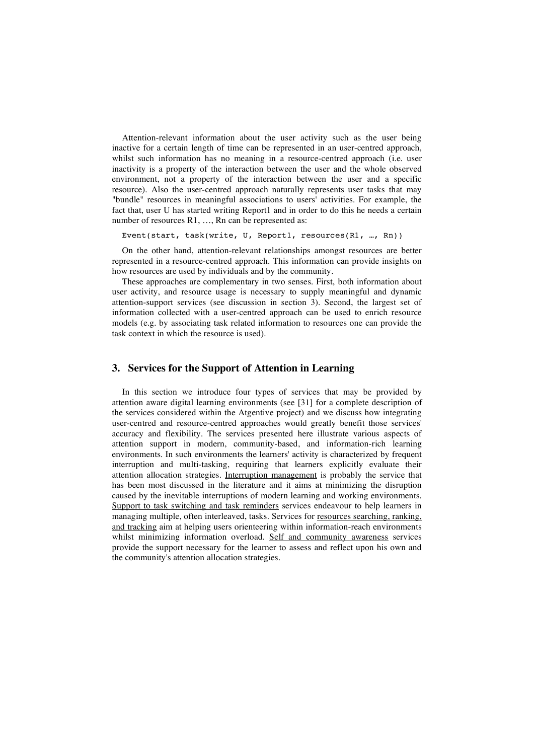Attention-relevant information about the user activity such as the user being inactive for a certain length of time can be represented in an user-centred approach, whilst such information has no meaning in a resource-centred approach (i.e. user inactivity is a property of the interaction between the user and the whole observed environment, not a property of the interaction between the user and a specific resource). Also the user-centred approach naturally represents user tasks that may "bundle" resources in meaningful associations to users' activities. For example, the fact that, user U has started writing Report1 and in order to do this he needs a certain number of resources R1, …, Rn can be represented as:

Event(start, task(write, U, Report1, resources(R1, …, Rn))

On the other hand, attention-relevant relationships amongst resources are better represented in a resource-centred approach. This information can provide insights on how resources are used by individuals and by the community.

These approaches are complementary in two senses. First, both information about user activity, and resource usage is necessary to supply meaningful and dynamic attention-support services (see discussion in section 3). Second, the largest set of information collected with a user-centred approach can be used to enrich resource models (e.g. by associating task related information to resources one can provide the task context in which the resource is used).

## **3. Services for the Support of Attention in Learning**

In this section we introduce four types of services that may be provided by attention aware digital learning environments (see [31] for a complete description of the services considered within the Atgentive project) and we discuss how integrating user-centred and resource-centred approaches would greatly benefit those services' accuracy and flexibility. The services presented here illustrate various aspects of attention support in modern, community-based, and information-rich learning environments. In such environments the learners' activity is characterized by frequent interruption and multi-tasking, requiring that learners explicitly evaluate their attention allocation strategies. Interruption management is probably the service that has been most discussed in the literature and it aims at minimizing the disruption caused by the inevitable interruptions of modern learning and working environments. Support to task switching and task reminders services endeavour to help learners in managing multiple, often interleaved, tasks. Services for resources searching, ranking, and tracking aim at helping users orienteering within information-reach environments whilst minimizing information overload. Self and community awareness services provide the support necessary for the learner to assess and reflect upon his own and the community's attention allocation strategies.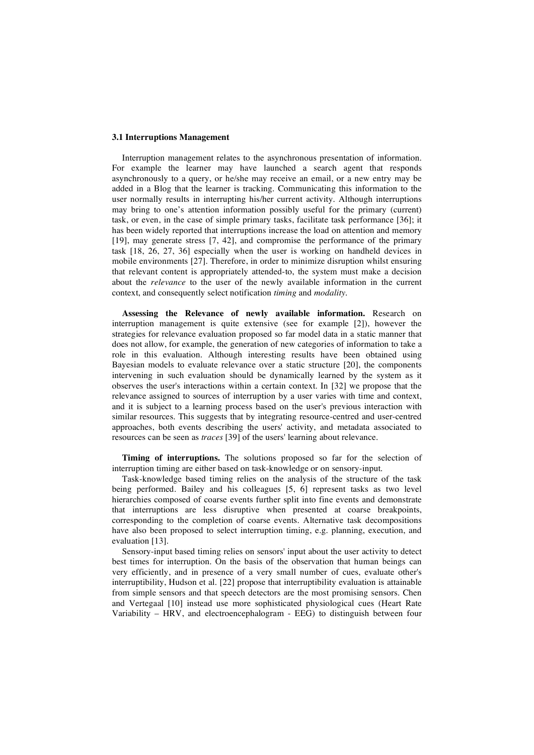#### **3.1 Interruptions Management**

Interruption management relates to the asynchronous presentation of information. For example the learner may have launched a search agent that responds asynchronously to a query, or he/she may receive an email, or a new entry may be added in a Blog that the learner is tracking. Communicating this information to the user normally results in interrupting his/her current activity. Although interruptions may bring to one's attention information possibly useful for the primary (current) task, or even, in the case of simple primary tasks, facilitate task performance [36]; it has been widely reported that interruptions increase the load on attention and memory [19], may generate stress [7, 42], and compromise the performance of the primary task [18, 26, 27, 36] especially when the user is working on handheld devices in mobile environments [27]. Therefore, in order to minimize disruption whilst ensuring that relevant content is appropriately attended-to, the system must make a decision about the *relevance* to the user of the newly available information in the current context, and consequently select notification *timing* and *modality*.

**Assessing the Relevance of newly available information.** Research on interruption management is quite extensive (see for example [2]), however the strategies for relevance evaluation proposed so far model data in a static manner that does not allow, for example, the generation of new categories of information to take a role in this evaluation. Although interesting results have been obtained using Bayesian models to evaluate relevance over a static structure [20], the components intervening in such evaluation should be dynamically learned by the system as it observes the user's interactions within a certain context. In [32] we propose that the relevance assigned to sources of interruption by a user varies with time and context, and it is subject to a learning process based on the user's previous interaction with similar resources. This suggests that by integrating resource-centred and user-centred approaches, both events describing the users' activity, and metadata associated to resources can be seen as *traces* [39] of the users' learning about relevance.

**Timing of interruptions.** The solutions proposed so far for the selection of interruption timing are either based on task-knowledge or on sensory-input.

Task-knowledge based timing relies on the analysis of the structure of the task being performed. Bailey and his colleagues [5, 6] represent tasks as two level hierarchies composed of coarse events further split into fine events and demonstrate that interruptions are less disruptive when presented at coarse breakpoints, corresponding to the completion of coarse events. Alternative task decompositions have also been proposed to select interruption timing, e.g. planning, execution, and evaluation [13].

Sensory-input based timing relies on sensors' input about the user activity to detect best times for interruption. On the basis of the observation that human beings can very efficiently, and in presence of a very small number of cues, evaluate other's interruptibility, Hudson et al. [22] propose that interruptibility evaluation is attainable from simple sensors and that speech detectors are the most promising sensors. Chen and Vertegaal [10] instead use more sophisticated physiological cues (Heart Rate Variability – HRV, and electroencephalogram - EEG) to distinguish between four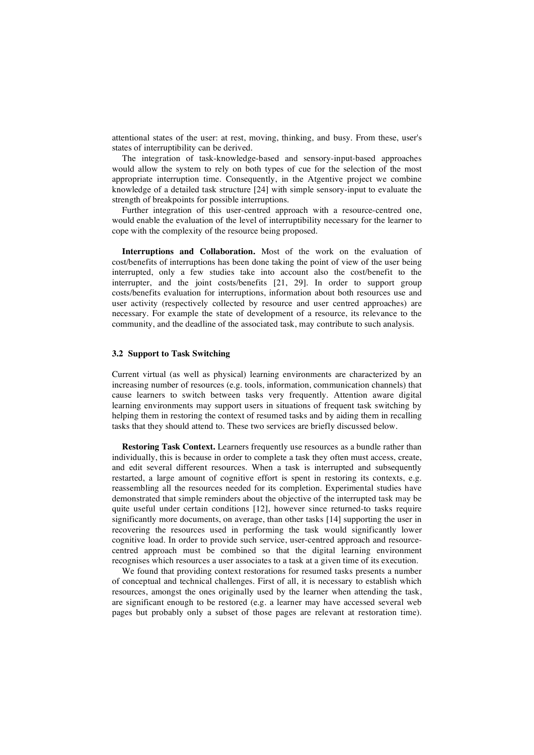attentional states of the user: at rest, moving, thinking, and busy. From these, user's states of interruptibility can be derived.

The integration of task-knowledge-based and sensory-input-based approaches would allow the system to rely on both types of cue for the selection of the most appropriate interruption time. Consequently, in the Atgentive project we combine knowledge of a detailed task structure [24] with simple sensory-input to evaluate the strength of breakpoints for possible interruptions.

Further integration of this user-centred approach with a resource-centred one, would enable the evaluation of the level of interruptibility necessary for the learner to cope with the complexity of the resource being proposed.

**Interruptions and Collaboration.** Most of the work on the evaluation of cost/benefits of interruptions has been done taking the point of view of the user being interrupted, only a few studies take into account also the cost/benefit to the interrupter, and the joint costs/benefits [21, 29]. In order to support group costs/benefits evaluation for interruptions, information about both resources use and user activity (respectively collected by resource and user centred approaches) are necessary. For example the state of development of a resource, its relevance to the community, and the deadline of the associated task, may contribute to such analysis.

## **3.2 Support to Task Switching**

Current virtual (as well as physical) learning environments are characterized by an increasing number of resources (e.g. tools, information, communication channels) that cause learners to switch between tasks very frequently. Attention aware digital learning environments may support users in situations of frequent task switching by helping them in restoring the context of resumed tasks and by aiding them in recalling tasks that they should attend to. These two services are briefly discussed below.

**Restoring Task Context.** Learners frequently use resources as a bundle rather than individually, this is because in order to complete a task they often must access, create, and edit several different resources. When a task is interrupted and subsequently restarted, a large amount of cognitive effort is spent in restoring its contexts, e.g. reassembling all the resources needed for its completion. Experimental studies have demonstrated that simple reminders about the objective of the interrupted task may be quite useful under certain conditions [12], however since returned-to tasks require significantly more documents, on average, than other tasks [14] supporting the user in recovering the resources used in performing the task would significantly lower cognitive load. In order to provide such service, user-centred approach and resourcecentred approach must be combined so that the digital learning environment recognises which resources a user associates to a task at a given time of its execution.

We found that providing context restorations for resumed tasks presents a number of conceptual and technical challenges. First of all, it is necessary to establish which resources, amongst the ones originally used by the learner when attending the task, are significant enough to be restored (e.g. a learner may have accessed several web pages but probably only a subset of those pages are relevant at restoration time).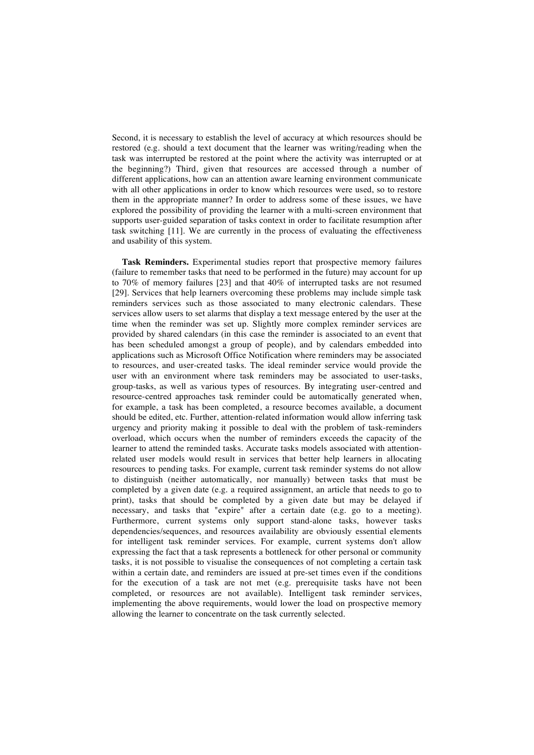Second, it is necessary to establish the level of accuracy at which resources should be restored (e.g. should a text document that the learner was writing/reading when the task was interrupted be restored at the point where the activity was interrupted or at the beginning?) Third, given that resources are accessed through a number of different applications, how can an attention aware learning environment communicate with all other applications in order to know which resources were used, so to restore them in the appropriate manner? In order to address some of these issues, we have explored the possibility of providing the learner with a multi-screen environment that supports user-guided separation of tasks context in order to facilitate resumption after task switching [11]. We are currently in the process of evaluating the effectiveness and usability of this system.

**Task Reminders.** Experimental studies report that prospective memory failures (failure to remember tasks that need to be performed in the future) may account for up to 70% of memory failures [23] and that 40% of interrupted tasks are not resumed [29]. Services that help learners overcoming these problems may include simple task reminders services such as those associated to many electronic calendars. These services allow users to set alarms that display a text message entered by the user at the time when the reminder was set up. Slightly more complex reminder services are provided by shared calendars (in this case the reminder is associated to an event that has been scheduled amongst a group of people), and by calendars embedded into applications such as Microsoft Office Notification where reminders may be associated to resources, and user-created tasks. The ideal reminder service would provide the user with an environment where task reminders may be associated to user-tasks, group-tasks, as well as various types of resources. By integrating user-centred and resource-centred approaches task reminder could be automatically generated when, for example, a task has been completed, a resource becomes available, a document should be edited, etc. Further, attention-related information would allow inferring task urgency and priority making it possible to deal with the problem of task-reminders overload, which occurs when the number of reminders exceeds the capacity of the learner to attend the reminded tasks. Accurate tasks models associated with attentionrelated user models would result in services that better help learners in allocating resources to pending tasks. For example, current task reminder systems do not allow to distinguish (neither automatically, nor manually) between tasks that must be completed by a given date (e.g. a required assignment, an article that needs to go to print), tasks that should be completed by a given date but may be delayed if necessary, and tasks that "expire" after a certain date (e.g. go to a meeting). Furthermore, current systems only support stand-alone tasks, however tasks dependencies/sequences, and resources availability are obviously essential elements for intelligent task reminder services. For example, current systems don't allow expressing the fact that a task represents a bottleneck for other personal or community tasks, it is not possible to visualise the consequences of not completing a certain task within a certain date, and reminders are issued at pre-set times even if the conditions for the execution of a task are not met (e.g. prerequisite tasks have not been completed, or resources are not available). Intelligent task reminder services, implementing the above requirements, would lower the load on prospective memory allowing the learner to concentrate on the task currently selected.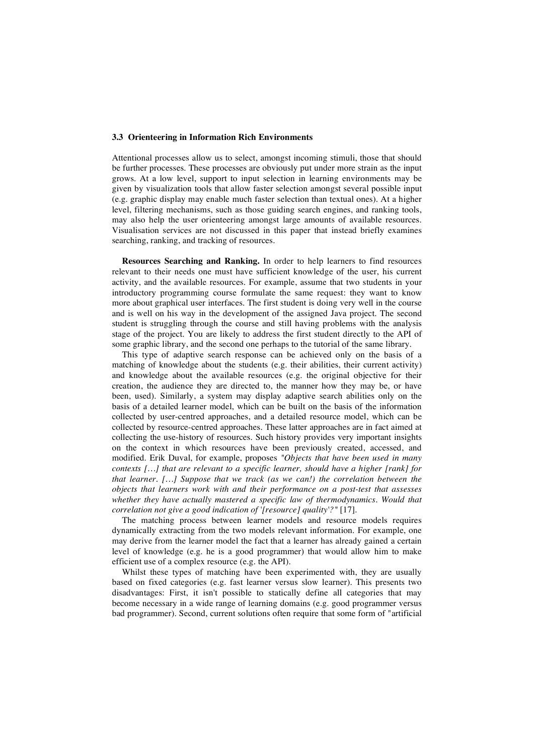#### **3.3 Orienteering in Information Rich Environments**

Attentional processes allow us to select, amongst incoming stimuli, those that should be further processes. These processes are obviously put under more strain as the input grows. At a low level, support to input selection in learning environments may be given by visualization tools that allow faster selection amongst several possible input (e.g. graphic display may enable much faster selection than textual ones). At a higher level, filtering mechanisms, such as those guiding search engines, and ranking tools, may also help the user orienteering amongst large amounts of available resources. Visualisation services are not discussed in this paper that instead briefly examines searching, ranking, and tracking of resources.

**Resources Searching and Ranking.** In order to help learners to find resources relevant to their needs one must have sufficient knowledge of the user, his current activity, and the available resources. For example, assume that two students in your introductory programming course formulate the same request: they want to know more about graphical user interfaces. The first student is doing very well in the course and is well on his way in the development of the assigned Java project. The second student is struggling through the course and still having problems with the analysis stage of the project. You are likely to address the first student directly to the API of some graphic library, and the second one perhaps to the tutorial of the same library.

This type of adaptive search response can be achieved only on the basis of a matching of knowledge about the students (e.g. their abilities, their current activity) and knowledge about the available resources (e.g. the original objective for their creation, the audience they are directed to, the manner how they may be, or have been, used). Similarly, a system may display adaptive search abilities only on the basis of a detailed learner model, which can be built on the basis of the information collected by user-centred approaches, and a detailed resource model, which can be collected by resource-centred approaches. These latter approaches are in fact aimed at collecting the use-history of resources. Such history provides very important insights on the context in which resources have been previously created, accessed, and modified. Erik Duval, for example, proposes *"Objects that have been used in many contexts […] that are relevant to a specific learner, should have a higher [rank] for that learner. […] Suppose that we track (as we can!) the correlation between the objects that learners work with and their performance on a post-test that assesses whether they have actually mastered a specific law of thermodynamics. Would that correlation not give a good indication of '[resource] quality'?"* [17].

The matching process between learner models and resource models requires dynamically extracting from the two models relevant information. For example, one may derive from the learner model the fact that a learner has already gained a certain level of knowledge (e.g. he is a good programmer) that would allow him to make efficient use of a complex resource (e.g. the API).

Whilst these types of matching have been experimented with, they are usually based on fixed categories (e.g. fast learner versus slow learner). This presents two disadvantages: First, it isn't possible to statically define all categories that may become necessary in a wide range of learning domains (e.g. good programmer versus bad programmer). Second, current solutions often require that some form of "artificial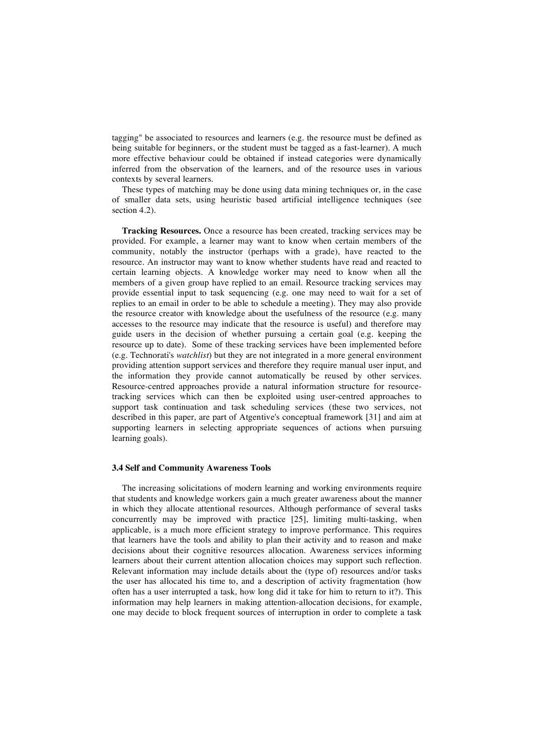tagging" be associated to resources and learners (e.g. the resource must be defined as being suitable for beginners, or the student must be tagged as a fast-learner). A much more effective behaviour could be obtained if instead categories were dynamically inferred from the observation of the learners, and of the resource uses in various contexts by several learners.

These types of matching may be done using data mining techniques or, in the case of smaller data sets, using heuristic based artificial intelligence techniques (see section 4.2).

**Tracking Resources.** Once a resource has been created, tracking services may be provided. For example, a learner may want to know when certain members of the community, notably the instructor (perhaps with a grade), have reacted to the resource. An instructor may want to know whether students have read and reacted to certain learning objects. A knowledge worker may need to know when all the members of a given group have replied to an email. Resource tracking services may provide essential input to task sequencing (e.g. one may need to wait for a set of replies to an email in order to be able to schedule a meeting). They may also provide the resource creator with knowledge about the usefulness of the resource (e.g. many accesses to the resource may indicate that the resource is useful) and therefore may guide users in the decision of whether pursuing a certain goal (e.g. keeping the resource up to date). Some of these tracking services have been implemented before (e.g. Technorati's *watchlist*) but they are not integrated in a more general environment providing attention support services and therefore they require manual user input, and the information they provide cannot automatically be reused by other services. Resource-centred approaches provide a natural information structure for resourcetracking services which can then be exploited using user-centred approaches to support task continuation and task scheduling services (these two services, not described in this paper, are part of Atgentive's conceptual framework [31] and aim at supporting learners in selecting appropriate sequences of actions when pursuing learning goals).

#### **3.4 Self and Community Awareness Tools**

The increasing solicitations of modern learning and working environments require that students and knowledge workers gain a much greater awareness about the manner in which they allocate attentional resources. Although performance of several tasks concurrently may be improved with practice [25], limiting multi-tasking, when applicable, is a much more efficient strategy to improve performance. This requires that learners have the tools and ability to plan their activity and to reason and make decisions about their cognitive resources allocation. Awareness services informing learners about their current attention allocation choices may support such reflection. Relevant information may include details about the (type of) resources and/or tasks the user has allocated his time to, and a description of activity fragmentation (how often has a user interrupted a task, how long did it take for him to return to it?). This information may help learners in making attention-allocation decisions, for example, one may decide to block frequent sources of interruption in order to complete a task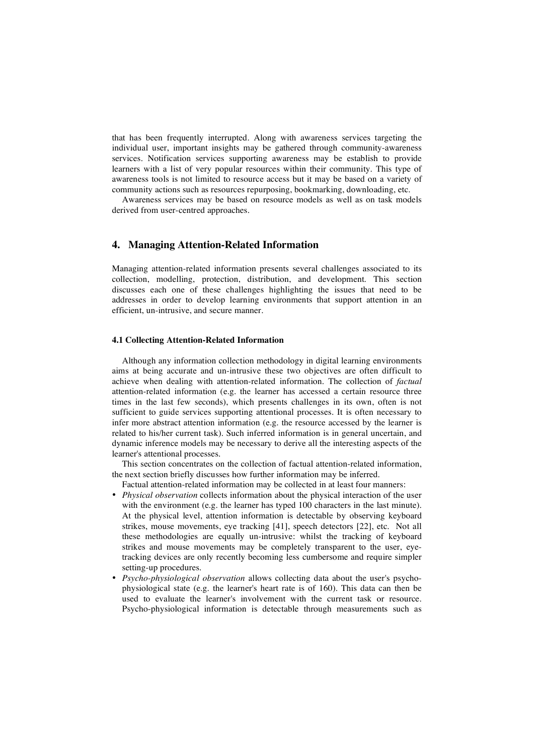that has been frequently interrupted. Along with awareness services targeting the individual user, important insights may be gathered through community-awareness services. Notification services supporting awareness may be establish to provide learners with a list of very popular resources within their community. This type of awareness tools is not limited to resource access but it may be based on a variety of community actions such as resources repurposing, bookmarking, downloading, etc.

Awareness services may be based on resource models as well as on task models derived from user-centred approaches.

## **4. Managing Attention-Related Information**

Managing attention-related information presents several challenges associated to its collection, modelling, protection, distribution, and development. This section discusses each one of these challenges highlighting the issues that need to be addresses in order to develop learning environments that support attention in an efficient, un-intrusive, and secure manner.

## **4.1 Collecting Attention-Related Information**

Although any information collection methodology in digital learning environments aims at being accurate and un-intrusive these two objectives are often difficult to achieve when dealing with attention-related information. The collection of *factual* attention-related information (e.g. the learner has accessed a certain resource three times in the last few seconds), which presents challenges in its own, often is not sufficient to guide services supporting attentional processes. It is often necessary to infer more abstract attention information (e.g. the resource accessed by the learner is related to his/her current task). Such inferred information is in general uncertain, and dynamic inference models may be necessary to derive all the interesting aspects of the learner's attentional processes.

This section concentrates on the collection of factual attention-related information, the next section briefly discusses how further information may be inferred.

- Factual attention-related information may be collected in at least four manners:
- *Physical observation* collects information about the physical interaction of the user with the environment (e.g. the learner has typed 100 characters in the last minute). At the physical level, attention information is detectable by observing keyboard strikes, mouse movements, eye tracking [41], speech detectors [22], etc. Not all these methodologies are equally un-intrusive: whilst the tracking of keyboard strikes and mouse movements may be completely transparent to the user, eyetracking devices are only recently becoming less cumbersome and require simpler setting-up procedures.
- *Psycho-physiological observation* allows collecting data about the user's psychophysiological state (e.g. the learner's heart rate is of 160). This data can then be used to evaluate the learner's involvement with the current task or resource. Psycho-physiological information is detectable through measurements such as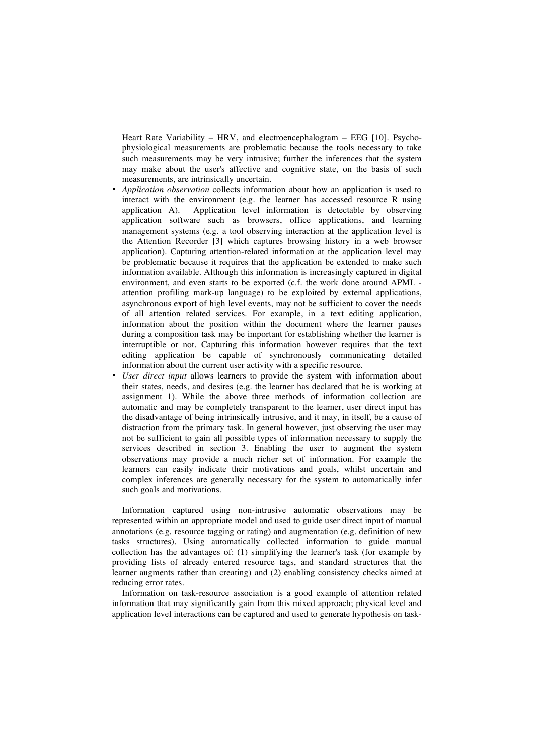Heart Rate Variability – HRV, and electroencephalogram – EEG [10]. Psychophysiological measurements are problematic because the tools necessary to take such measurements may be very intrusive; further the inferences that the system may make about the user's affective and cognitive state, on the basis of such measurements, are intrinsically uncertain.

- *Application observation* collects information about how an application is used to interact with the environment (e.g. the learner has accessed resource R using application A). Application level information is detectable by observing application software such as browsers, office applications, and learning management systems (e.g. a tool observing interaction at the application level is the Attention Recorder [3] which captures browsing history in a web browser application). Capturing attention-related information at the application level may be problematic because it requires that the application be extended to make such information available. Although this information is increasingly captured in digital environment, and even starts to be exported (c.f. the work done around APML attention profiling mark-up language) to be exploited by external applications, asynchronous export of high level events, may not be sufficient to cover the needs of all attention related services. For example, in a text editing application, information about the position within the document where the learner pauses during a composition task may be important for establishing whether the learner is interruptible or not. Capturing this information however requires that the text editing application be capable of synchronously communicating detailed information about the current user activity with a specific resource.
- *User direct input* allows learners to provide the system with information about their states, needs, and desires (e.g. the learner has declared that he is working at assignment 1). While the above three methods of information collection are automatic and may be completely transparent to the learner, user direct input has the disadvantage of being intrinsically intrusive, and it may, in itself, be a cause of distraction from the primary task. In general however, just observing the user may not be sufficient to gain all possible types of information necessary to supply the services described in section 3. Enabling the user to augment the system observations may provide a much richer set of information. For example the learners can easily indicate their motivations and goals, whilst uncertain and complex inferences are generally necessary for the system to automatically infer such goals and motivations.

Information captured using non-intrusive automatic observations may be represented within an appropriate model and used to guide user direct input of manual annotations (e.g. resource tagging or rating) and augmentation (e.g. definition of new tasks structures). Using automatically collected information to guide manual collection has the advantages of: (1) simplifying the learner's task (for example by providing lists of already entered resource tags, and standard structures that the learner augments rather than creating) and (2) enabling consistency checks aimed at reducing error rates.

Information on task-resource association is a good example of attention related information that may significantly gain from this mixed approach; physical level and application level interactions can be captured and used to generate hypothesis on task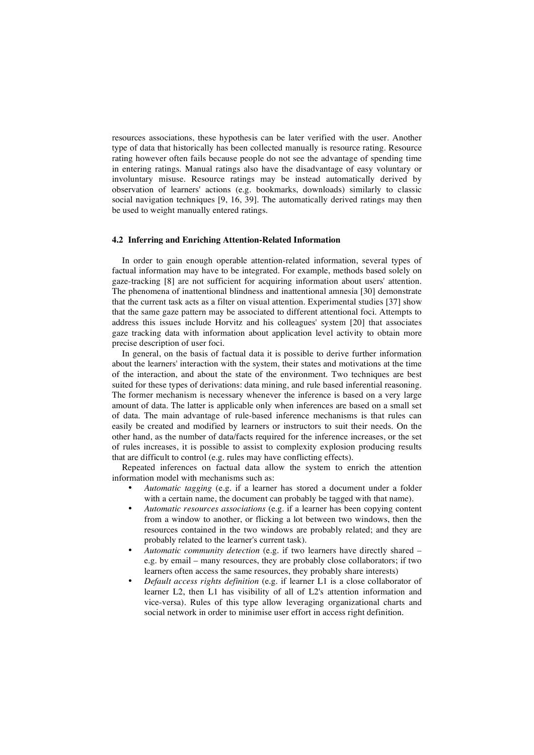resources associations, these hypothesis can be later verified with the user. Another type of data that historically has been collected manually is resource rating. Resource rating however often fails because people do not see the advantage of spending time in entering ratings. Manual ratings also have the disadvantage of easy voluntary or involuntary misuse. Resource ratings may be instead automatically derived by observation of learners' actions (e.g. bookmarks, downloads) similarly to classic social navigation techniques [9, 16, 39]. The automatically derived ratings may then be used to weight manually entered ratings.

## **4.2 Inferring and Enriching Attention-Related Information**

In order to gain enough operable attention-related information, several types of factual information may have to be integrated. For example, methods based solely on gaze-tracking [8] are not sufficient for acquiring information about users' attention. The phenomena of inattentional blindness and inattentional amnesia [30] demonstrate that the current task acts as a filter on visual attention. Experimental studies [37] show that the same gaze pattern may be associated to different attentional foci. Attempts to address this issues include Horvitz and his colleagues' system [20] that associates gaze tracking data with information about application level activity to obtain more precise description of user foci.

In general, on the basis of factual data it is possible to derive further information about the learners' interaction with the system, their states and motivations at the time of the interaction, and about the state of the environment. Two techniques are best suited for these types of derivations: data mining, and rule based inferential reasoning. The former mechanism is necessary whenever the inference is based on a very large amount of data. The latter is applicable only when inferences are based on a small set of data. The main advantage of rule-based inference mechanisms is that rules can easily be created and modified by learners or instructors to suit their needs. On the other hand, as the number of data/facts required for the inference increases, or the set of rules increases, it is possible to assist to complexity explosion producing results that are difficult to control (e.g. rules may have conflicting effects).

Repeated inferences on factual data allow the system to enrich the attention information model with mechanisms such as:

- *Automatic tagging* (e.g. if a learner has stored a document under a folder with a certain name, the document can probably be tagged with that name).
- *Automatic resources associations* (e.g. if a learner has been copying content from a window to another, or flicking a lot between two windows, then the resources contained in the two windows are probably related; and they are probably related to the learner's current task).
- *Automatic community detection* (e.g. if two learners have directly shared e.g. by email – many resources, they are probably close collaborators; if two learners often access the same resources, they probably share interests)
- *Default access rights definition* (e.g. if learner L1 is a close collaborator of learner L2, then L1 has visibility of all of L2's attention information and vice-versa). Rules of this type allow leveraging organizational charts and social network in order to minimise user effort in access right definition.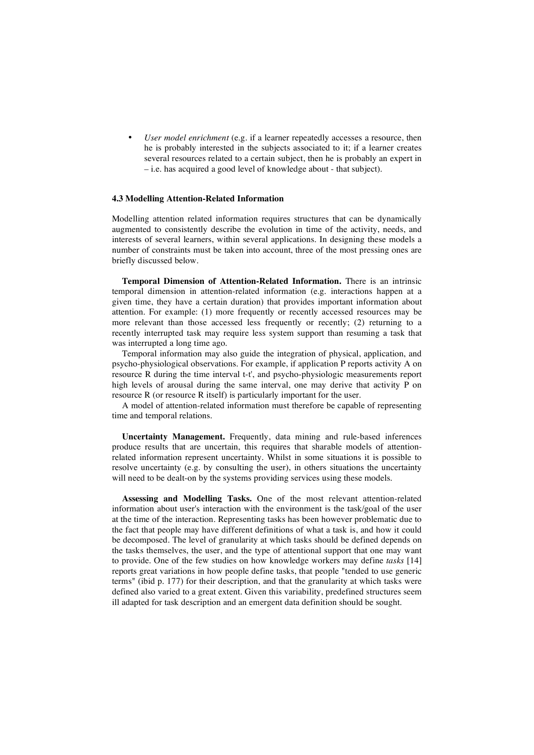• *User model enrichment* (e.g. if a learner repeatedly accesses a resource, then he is probably interested in the subjects associated to it; if a learner creates several resources related to a certain subject, then he is probably an expert in – i.e. has acquired a good level of knowledge about - that subject).

## **4.3 Modelling Attention-Related Information**

Modelling attention related information requires structures that can be dynamically augmented to consistently describe the evolution in time of the activity, needs, and interests of several learners, within several applications. In designing these models a number of constraints must be taken into account, three of the most pressing ones are briefly discussed below.

**Temporal Dimension of Attention-Related Information.** There is an intrinsic temporal dimension in attention-related information (e.g. interactions happen at a given time, they have a certain duration) that provides important information about attention. For example: (1) more frequently or recently accessed resources may be more relevant than those accessed less frequently or recently; (2) returning to a recently interrupted task may require less system support than resuming a task that was interrupted a long time ago.

Temporal information may also guide the integration of physical, application, and psycho-physiological observations. For example, if application P reports activity A on resource R during the time interval t-t', and psycho-physiologic measurements report high levels of arousal during the same interval, one may derive that activity P on resource R (or resource R itself) is particularly important for the user.

A model of attention-related information must therefore be capable of representing time and temporal relations.

**Uncertainty Management.** Frequently, data mining and rule-based inferences produce results that are uncertain, this requires that sharable models of attentionrelated information represent uncertainty. Whilst in some situations it is possible to resolve uncertainty (e.g. by consulting the user), in others situations the uncertainty will need to be dealt-on by the systems providing services using these models.

**Assessing and Modelling Tasks.** One of the most relevant attention-related information about user's interaction with the environment is the task/goal of the user at the time of the interaction. Representing tasks has been however problematic due to the fact that people may have different definitions of what a task is, and how it could be decomposed. The level of granularity at which tasks should be defined depends on the tasks themselves, the user, and the type of attentional support that one may want to provide. One of the few studies on how knowledge workers may define *tasks* [14] reports great variations in how people define tasks, that people "tended to use generic terms" (ibid p. 177) for their description, and that the granularity at which tasks were defined also varied to a great extent. Given this variability, predefined structures seem ill adapted for task description and an emergent data definition should be sought.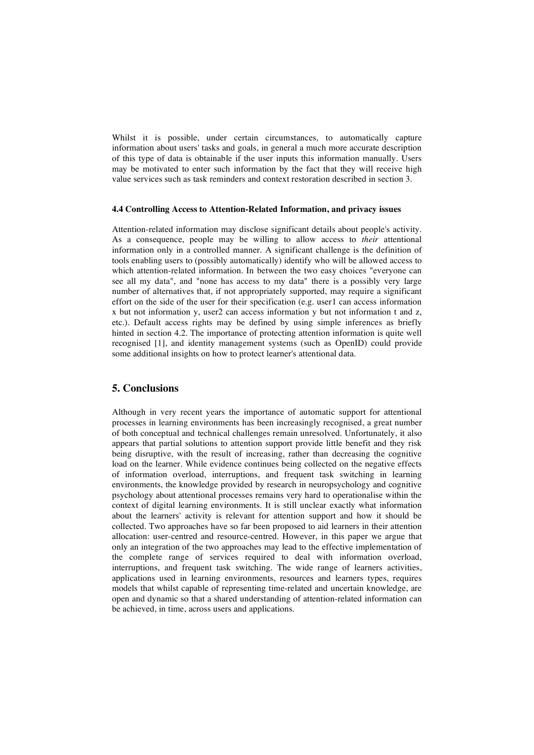Whilst it is possible, under certain circumstances, to automatically capture information about users' tasks and goals, in general a much more accurate description of this type of data is obtainable if the user inputs this information manually. Users may be motivated to enter such information by the fact that they will receive high value services such as task reminders and context restoration described in section 3.

#### **4.4 Controlling Access to Attention-Related Information, and privacy issues**

Attention-related information may disclose significant details about people's activity. As a consequence, people may be willing to allow access to *their* attentional information only in a controlled manner. A significant challenge is the definition of tools enabling users to (possibly automatically) identify who will be allowed access to which attention-related information. In between the two easy choices "everyone can see all my data", and "none has access to my data" there is a possibly very large number of alternatives that, if not appropriately supported, may require a significant effort on the side of the user for their specification (e.g. user1 can access information x but not information y, user2 can access information y but not information t and z, etc.). Default access rights may be defined by using simple inferences as briefly hinted in section 4.2. The importance of protecting attention information is quite well recognised [1], and identity management systems (such as OpenID) could provide some additional insights on how to protect learner's attentional data.

# **5. Conclusions**

Although in very recent years the importance of automatic support for attentional processes in learning environments has been increasingly recognised, a great number of both conceptual and technical challenges remain unresolved. Unfortunately, it also appears that partial solutions to attention support provide little benefit and they risk being disruptive, with the result of increasing, rather than decreasing the cognitive load on the learner. While evidence continues being collected on the negative effects of information overload, interruptions, and frequent task switching in learning environments, the knowledge provided by research in neuropsychology and cognitive psychology about attentional processes remains very hard to operationalise within the context of digital learning environments. It is still unclear exactly what information about the learners' activity is relevant for attention support and how it should be collected. Two approaches have so far been proposed to aid learners in their attention allocation: user-centred and resource-centred. However, in this paper we argue that only an integration of the two approaches may lead to the effective implementation of the complete range of services required to deal with information overload, interruptions, and frequent task switching. The wide range of learners activities, applications used in learning environments, resources and learners types, requires models that whilst capable of representing time-related and uncertain knowledge, are open and dynamic so that a shared understanding of attention-related information can be achieved, in time, across users and applications.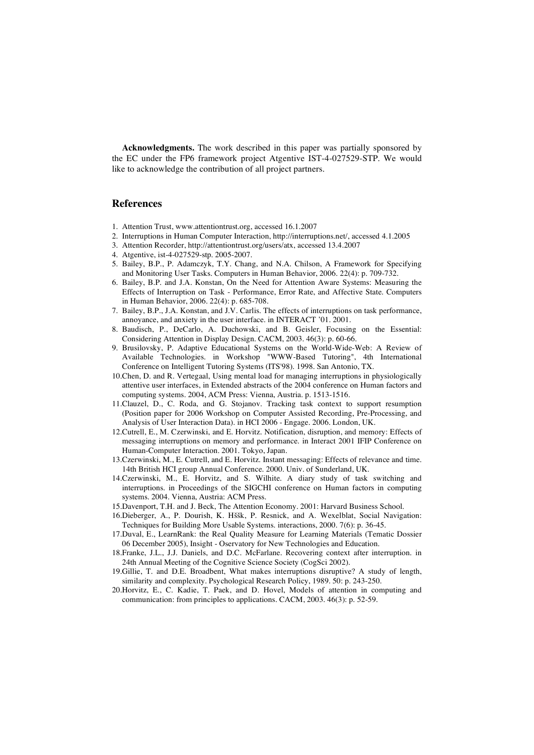**Acknowledgments.** The work described in this paper was partially sponsored by the EC under the FP6 framework project Atgentive IST-4-027529-STP. We would like to acknowledge the contribution of all project partners.

# **References**

- 1. Attention Trust, www.attentiontrust.org, accessed 16.1.2007
- 2. Interruptions in Human Computer Interaction, http://interruptions.net/, accessed 4.1.2005
- 3. Attention Recorder, http://attentiontrust.org/users/atx, accessed 13.4.2007
- 4. Atgentive, ist-4-027529-stp. 2005-2007.
- 5. Bailey, B.P., P. Adamczyk, T.Y. Chang, and N.A. Chilson, A Framework for Specifying and Monitoring User Tasks. Computers in Human Behavior, 2006. 22(4): p. 709-732.
- 6. Bailey, B.P. and J.A. Konstan, On the Need for Attention Aware Systems: Measuring the Effects of Interruption on Task - Performance, Error Rate, and Affective State. Computers in Human Behavior, 2006. 22(4): p. 685-708.
- 7. Bailey, B.P., J.A. Konstan, and J.V. Carlis. The effects of interruptions on task performance, annoyance, and anxiety in the user interface. in INTERACT '01. 2001.
- 8. Baudisch, P., DeCarlo, A. Duchowski, and B. Geisler, Focusing on the Essential: Considering Attention in Display Design. CACM, 2003. 46(3): p. 60-66.
- 9. Brusilovsky, P. Adaptive Educational Systems on the World-Wide-Web: A Review of Available Technologies. in Workshop "WWW-Based Tutoring", 4th International Conference on Intelligent Tutoring Systems (ITS'98). 1998. San Antonio, TX.
- 10.Chen, D. and R. Vertegaal, Using mental load for managing interruptions in physiologically attentive user interfaces, in Extended abstracts of the 2004 conference on Human factors and computing systems. 2004, ACM Press: Vienna, Austria. p. 1513-1516.
- 11.Clauzel, D., C. Roda, and G. Stojanov. Tracking task context to support resumption (Position paper for 2006 Workshop on Computer Assisted Recording, Pre-Processing, and Analysis of User Interaction Data). in HCI 2006 - Engage. 2006. London, UK.
- 12.Cutrell, E., M. Czerwinski, and E. Horvitz. Notification, disruption, and memory: Effects of messaging interruptions on memory and performance. in Interact 2001 IFIP Conference on Human-Computer Interaction. 2001. Tokyo, Japan.
- 13.Czerwinski, M., E. Cutrell, and E. Horvitz. Instant messaging: Effects of relevance and time. 14th British HCI group Annual Conference. 2000. Univ. of Sunderland, UK.
- 14.Czerwinski, M., E. Horvitz, and S. Wilhite. A diary study of task switching and interruptions. in Proceedings of the SIGCHI conference on Human factors in computing systems. 2004. Vienna, Austria: ACM Press.
- 15.Davenport, T.H. and J. Beck, The Attention Economy. 2001: Harvard Business School.
- 16.Dieberger, A., P. Dourish, K. Hššk, P. Resnick, and A. Wexelblat, Social Navigation: Techniques for Building More Usable Systems. interactions, 2000. 7(6): p. 36-45.
- 17.Duval, E., LearnRank: the Real Quality Measure for Learning Materials (Tematic Dossier 06 December 2005), Insight - Oservatory for New Technologies and Education.
- 18.Franke, J.L., J.J. Daniels, and D.C. McFarlane. Recovering context after interruption. in 24th Annual Meeting of the Cognitive Science Society (CogSci 2002).
- 19.Gillie, T. and D.E. Broadbent, What makes interruptions disruptive? A study of length, similarity and complexity. Psychological Research Policy, 1989. 50: p. 243-250.
- 20.Horvitz, E., C. Kadie, T. Paek, and D. Hovel, Models of attention in computing and communication: from principles to applications. CACM, 2003. 46(3): p. 52-59.